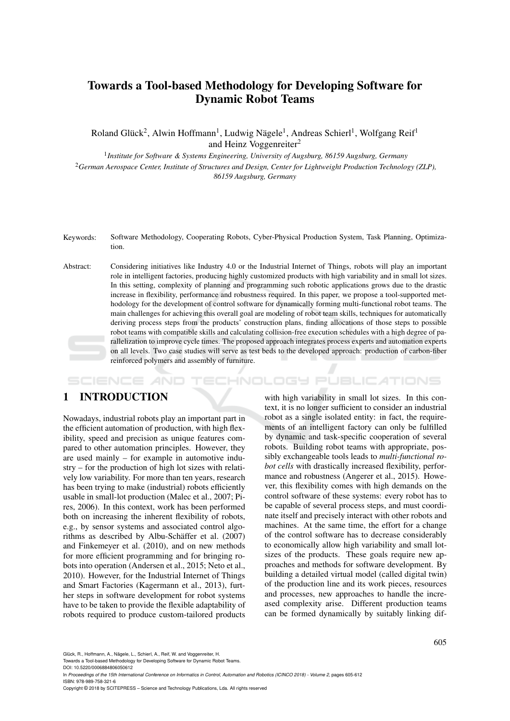# Towards a Tool-based Methodology for Developing Software for Dynamic Robot Teams

Roland Glück<sup>2</sup>, Alwin Hoffmann<sup>1</sup>, Ludwig Nägele<sup>1</sup>, Andreas Schierl<sup>1</sup>, Wolfgang Reif<sup>1</sup> and Heinz Voggenreiter<sup>2</sup>

1 *Institute for Software & Systems Engineering, University of Augsburg, 86159 Augsburg, Germany* <sup>2</sup>*German Aerospace Center, Institute of Structures and Design, Center for Lightweight Production Technology (ZLP), 86159 Augsburg, Germany*

- Keywords: Software Methodology, Cooperating Robots, Cyber-Physical Production System, Task Planning, Optimization.
- Abstract: Considering initiatives like Industry 4.0 or the Industrial Internet of Things, robots will play an important role in intelligent factories, producing highly customized products with high variability and in small lot sizes. In this setting, complexity of planning and programming such robotic applications grows due to the drastic increase in flexibility, performance and robustness required. In this paper, we propose a tool-supported methodology for the development of control software for dynamically forming multi-functional robot teams. The main challenges for achieving this overall goal are modeling of robot team skills, techniques for automatically deriving process steps from the products' construction plans, finding allocations of those steps to possible robot teams with compatible skills and calculating collision-free execution schedules with a high degree of parallelization to improve cycle times. The proposed approach integrates process experts and automation experts on all levels. Two case studies will serve as test beds to the developed approach: production of carbon-fiber reinforced polymers and assembly of furniture.

# 1 INTRODUCTION

SCIENCE *A*ND

Nowadays, industrial robots play an important part in the efficient automation of production, with high flexibility, speed and precision as unique features compared to other automation principles. However, they are used mainly – for example in automotive industry – for the production of high lot sizes with relatively low variability. For more than ten years, research has been trying to make (industrial) robots efficiently usable in small-lot production (Malec et al., 2007; Pires, 2006). In this context, work has been performed both on increasing the inherent flexibility of robots, e.g., by sensor systems and associated control algorithms as described by Albu-Schäffer et al. (2007) and Finkemeyer et al. (2010), and on new methods for more efficient programming and for bringing robots into operation (Andersen et al., 2015; Neto et al., 2010). However, for the Industrial Internet of Things and Smart Factories (Kagermann et al., 2013), further steps in software development for robot systems have to be taken to provide the flexible adaptability of robots required to produce custom-tailored products

with high variability in small lot sizes. In this context, it is no longer sufficient to consider an industrial robot as a single isolated entity: in fact, the requirements of an intelligent factory can only be fulfilled by dynamic and task-specific cooperation of several robots. Building robot teams with appropriate, possibly exchangeable tools leads to *multi-functional robot cells* with drastically increased flexibility, performance and robustness (Angerer et al., 2015). However, this flexibility comes with high demands on the control software of these systems: every robot has to be capable of several process steps, and must coordinate itself and precisely interact with other robots and machines. At the same time, the effort for a change of the control software has to decrease considerably to economically allow high variability and small lotsizes of the products. These goals require new approaches and methods for software development. By building a detailed virtual model (called digital twin) of the production line and its work pieces, resources and processes, new approaches to handle the increased complexity arise. Different production teams can be formed dynamically by suitably linking dif-

HNOLOGY PUBLICATIONS

Towards a Tool-based Methodology for Developing Software for Dynamic Robot Teams.

Glück, R., Hoffmann, A., Nägele, L., Schierl, A., Reif, W. and Voggenreiter, H.

DOI: 10.5220/0006884806050612 In *Proceedings of the 15th International Conference on Informatics in Control, Automation and Robotics (ICINCO 2018) - Volume 2*, pages 605-612 ISBN: 978-989-758-321-6

Copyright © 2018 by SCITEPRESS – Science and Technology Publications, Lda. All rights reserved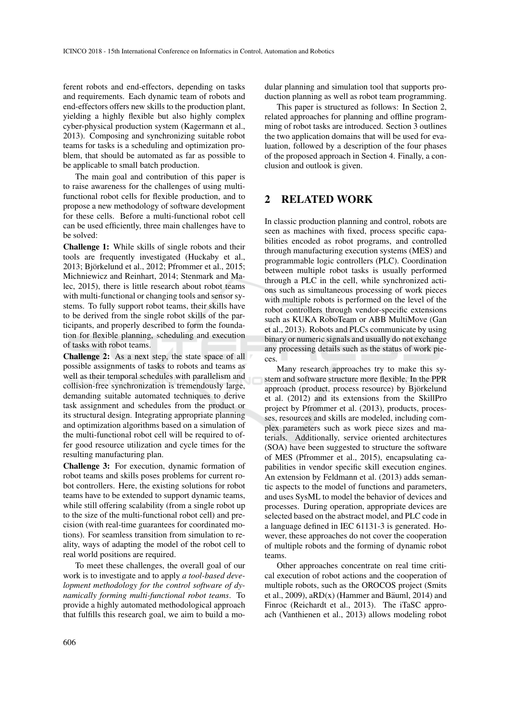ferent robots and end-effectors, depending on tasks and requirements. Each dynamic team of robots and end-effectors offers new skills to the production plant, yielding a highly flexible but also highly complex cyber-physical production system (Kagermann et al., 2013). Composing and synchronizing suitable robot teams for tasks is a scheduling and optimization problem, that should be automated as far as possible to be applicable to small batch production.

The main goal and contribution of this paper is to raise awareness for the challenges of using multifunctional robot cells for flexible production, and to propose a new methodology of software development for these cells. Before a multi-functional robot cell can be used efficiently, three main challenges have to be solved:

Challenge 1: While skills of single robots and their tools are frequently investigated (Huckaby et al., 2013; Björkelund et al., 2012; Pfrommer et al., 2015; Michniewicz and Reinhart, 2014; Stenmark and Malec, 2015), there is little research about robot teams with multi-functional or changing tools and sensor systems. To fully support robot teams, their skills have to be derived from the single robot skills of the participants, and properly described to form the foundation for flexible planning, scheduling and execution of tasks with robot teams.

Challenge 2: As a next step, the state space of all possible assignments of tasks to robots and teams as well as their temporal schedules with parallelism and collision-free synchronization is tremendously large, demanding suitable automated techniques to derive task assignment and schedules from the product or its structural design. Integrating appropriate planning and optimization algorithms based on a simulation of the multi-functional robot cell will be required to offer good resource utilization and cycle times for the resulting manufacturing plan.

Challenge 3: For execution, dynamic formation of robot teams and skills poses problems for current robot controllers. Here, the existing solutions for robot teams have to be extended to support dynamic teams, while still offering scalability (from a single robot up to the size of the multi-functional robot cell) and precision (with real-time guarantees for coordinated motions). For seamless transition from simulation to reality, ways of adapting the model of the robot cell to real world positions are required.

To meet these challenges, the overall goal of our work is to investigate and to apply *a tool-based development methodology for the control software of dynamically forming multi-functional robot teams*. To provide a highly automated methodological approach that fulfills this research goal, we aim to build a modular planning and simulation tool that supports production planning as well as robot team programming.

This paper is structured as follows: In Section 2, related approaches for planning and offline programming of robot tasks are introduced. Section 3 outlines the two application domains that will be used for evaluation, followed by a description of the four phases of the proposed approach in Section 4. Finally, a conclusion and outlook is given.

### 2 RELATED WORK

In classic production planning and control, robots are seen as machines with fixed, process specific capabilities encoded as robot programs, and controlled through manufacturing execution systems (MES) and programmable logic controllers (PLC). Coordination between multiple robot tasks is usually performed through a PLC in the cell, while synchronized actions such as simultaneous processing of work pieces with multiple robots is performed on the level of the robot controllers through vendor-specific extensions such as KUKA RoboTeam or ABB MultiMove (Gan et al., 2013). Robots and PLCs communicate by using binary or numeric signals and usually do not exchange any processing details such as the status of work pieces.

Many research approaches try to make this system and software structure more flexible. In the PPR approach (product, process resource) by Björkelund et al. (2012) and its extensions from the SkillPro project by Pfrommer et al. (2013), products, processes, resources and skills are modeled, including complex parameters such as work piece sizes and materials. Additionally, service oriented architectures (SOA) have been suggested to structure the software of MES (Pfrommer et al., 2015), encapsulating capabilities in vendor specific skill execution engines. An extension by Feldmann et al. (2013) adds semantic aspects to the model of functions and parameters, and uses SysML to model the behavior of devices and processes. During operation, appropriate devices are selected based on the abstract model, and PLC code in a language defined in IEC 61131-3 is generated. However, these approaches do not cover the cooperation of multiple robots and the forming of dynamic robot teams.

Other approaches concentrate on real time critical execution of robot actions and the cooperation of multiple robots, such as the OROCOS project (Smits et al., 2009),  $aRD(x)$  (Hammer and Bäuml, 2014) and Finroc (Reichardt et al., 2013). The iTaSC approach (Vanthienen et al., 2013) allows modeling robot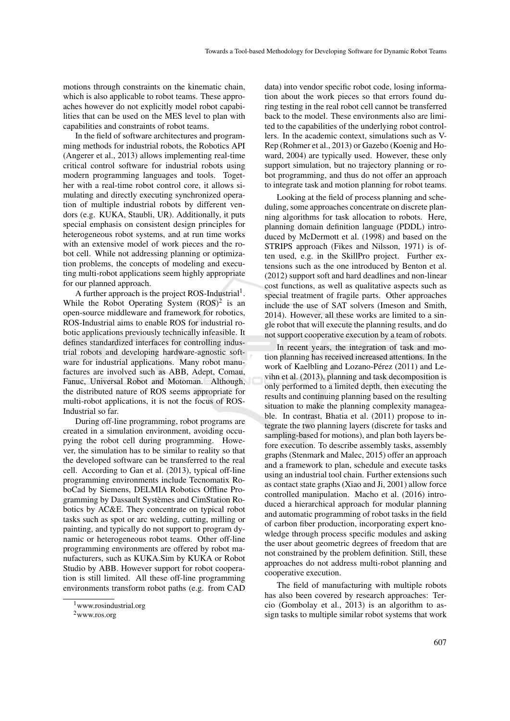motions through constraints on the kinematic chain, which is also applicable to robot teams. These approaches however do not explicitly model robot capabilities that can be used on the MES level to plan with capabilities and constraints of robot teams.

In the field of software architectures and programming methods for industrial robots, the Robotics API (Angerer et al., 2013) allows implementing real-time critical control software for industrial robots using modern programming languages and tools. Together with a real-time robot control core, it allows simulating and directly executing synchronized operation of multiple industrial robots by different vendors (e.g. KUKA, Staubli, UR). Additionally, it puts special emphasis on consistent design principles for heterogeneous robot systems, and at run time works with an extensive model of work pieces and the robot cell. While not addressing planning or optimization problems, the concepts of modeling and executing multi-robot applications seem highly appropriate for our planned approach.

A further approach is the project ROS-Industrial<sup>1</sup>. While the Robot Operating System  $(ROS)^2$  is an open-source middleware and framework for robotics, ROS-Industrial aims to enable ROS for industrial robotic applications previously technically infeasible. It defines standardized interfaces for controlling industrial robots and developing hardware-agnostic software for industrial applications. Many robot manufactures are involved such as ABB, Adept, Comau, Fanuc, Universal Robot and Motoman. Although, the distributed nature of ROS seems appropriate for multi-robot applications, it is not the focus of ROS-Industrial so far.

During off-line programming, robot programs are created in a simulation environment, avoiding occupying the robot cell during programming. However, the simulation has to be similar to reality so that the developed software can be transferred to the real cell. According to Gan et al. (2013), typical off-line programming environments include Tecnomatix RoboCad by Siemens, DELMIA Robotics Offline Programming by Dassault Systemes and CimStation Ro- ` botics by AC&E. They concentrate on typical robot tasks such as spot or arc welding, cutting, milling or painting, and typically do not support to program dynamic or heterogeneous robot teams. Other off-line programming environments are offered by robot manufacturers, such as KUKA.Sim by KUKA or Robot Studio by ABB. However support for robot cooperation is still limited. All these off-line programming environments transform robot paths (e.g. from CAD

data) into vendor specific robot code, losing information about the work pieces so that errors found during testing in the real robot cell cannot be transferred back to the model. These environments also are limited to the capabilities of the underlying robot controllers. In the academic context, simulations such as V-Rep (Rohmer et al., 2013) or Gazebo (Koenig and Howard, 2004) are typically used. However, these only support simulation, but no trajectory planning or robot programming, and thus do not offer an approach to integrate task and motion planning for robot teams.

Looking at the field of process planning and scheduling, some approaches concentrate on discrete planning algorithms for task allocation to robots. Here, planning domain definition language (PDDL) introduced by McDermott et al. (1998) and based on the STRIPS approach (Fikes and Nilsson, 1971) is often used, e.g. in the SkillPro project. Further extensions such as the one introduced by Benton et al. (2012) support soft and hard deadlines and non-linear cost functions, as well as qualitative aspects such as special treatment of fragile parts. Other approaches include the use of SAT solvers (Imeson and Smith, 2014). However, all these works are limited to a single robot that will execute the planning results, and do not support cooperative execution by a team of robots.

In recent years, the integration of task and motion planning has received increased attentions. In the work of Kaelbling and Lozano-Pérez (2011) and Levihn et al. (2013), planning and task decomposition is only performed to a limited depth, then executing the results and continuing planning based on the resulting situation to make the planning complexity manageable. In contrast, Bhatia et al. (2011) propose to integrate the two planning layers (discrete for tasks and sampling-based for motions), and plan both layers before execution. To describe assembly tasks, assembly graphs (Stenmark and Malec, 2015) offer an approach and a framework to plan, schedule and execute tasks using an industrial tool chain. Further extensions such as contact state graphs (Xiao and Ji, 2001) allow force controlled manipulation. Macho et al. (2016) introduced a hierarchical approach for modular planning and automatic programming of robot tasks in the field of carbon fiber production, incorporating expert knowledge through process specific modules and asking the user about geometric degrees of freedom that are not constrained by the problem definition. Still, these approaches do not address multi-robot planning and cooperative execution.

The field of manufacturing with multiple robots has also been covered by research approaches: Tercio (Gombolay et al., 2013) is an algorithm to assign tasks to multiple similar robot systems that work

<sup>1</sup>www.rosindustrial.org

<sup>2</sup>www.ros.org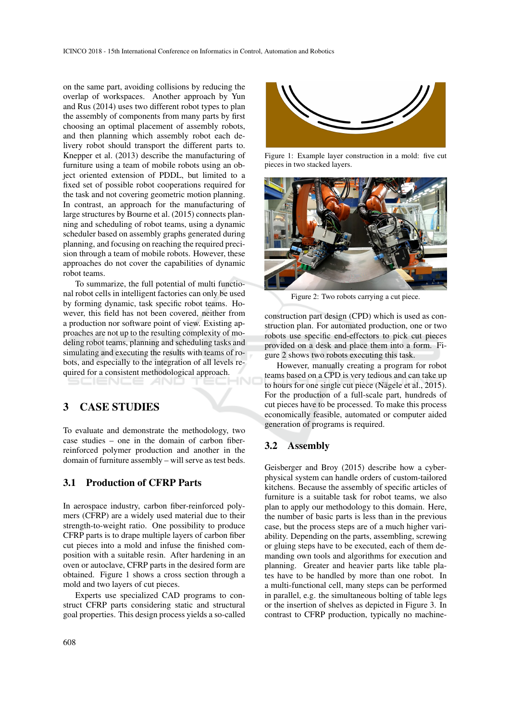on the same part, avoiding collisions by reducing the overlap of workspaces. Another approach by Yun and Rus (2014) uses two different robot types to plan the assembly of components from many parts by first choosing an optimal placement of assembly robots, and then planning which assembly robot each delivery robot should transport the different parts to. Knepper et al. (2013) describe the manufacturing of furniture using a team of mobile robots using an object oriented extension of PDDL, but limited to a fixed set of possible robot cooperations required for the task and not covering geometric motion planning. In contrast, an approach for the manufacturing of large structures by Bourne et al. (2015) connects planning and scheduling of robot teams, using a dynamic scheduler based on assembly graphs generated during planning, and focusing on reaching the required precision through a team of mobile robots. However, these approaches do not cover the capabilities of dynamic robot teams.

To summarize, the full potential of multi functional robot cells in intelligent factories can only be used by forming dynamic, task specific robot teams. However, this field has not been covered, neither from a production nor software point of view. Existing approaches are not up to the resulting complexity of modeling robot teams, planning and scheduling tasks and simulating and executing the results with teams of robots, and especially to the integration of all levels required for a consistent methodological approach.

## 3 CASE STUDIES

To evaluate and demonstrate the methodology, two case studies – one in the domain of carbon fiberreinforced polymer production and another in the domain of furniture assembly – will serve as test beds.

## 3.1 Production of CFRP Parts

In aerospace industry, carbon fiber-reinforced polymers (CFRP) are a widely used material due to their strength-to-weight ratio. One possibility to produce CFRP parts is to drape multiple layers of carbon fiber cut pieces into a mold and infuse the finished composition with a suitable resin. After hardening in an oven or autoclave, CFRP parts in the desired form are obtained. Figure 1 shows a cross section through a mold and two layers of cut pieces.

Experts use specialized CAD programs to construct CFRP parts considering static and structural goal properties. This design process yields a so-called



Figure 1: Example layer construction in a mold: five cut pieces in two stacked layers.



Figure 2: Two robots carrying a cut piece.

construction part design (CPD) which is used as construction plan. For automated production, one or two robots use specific end-effectors to pick cut pieces provided on a desk and place them into a form. Figure 2 shows two robots executing this task.

However, manually creating a program for robot teams based on a CPD is very tedious and can take up to hours for one single cut piece (Nägele et al., 2015). For the production of a full-scale part, hundreds of cut pieces have to be processed. To make this process economically feasible, automated or computer aided generation of programs is required.

#### 3.2 Assembly

Geisberger and Broy (2015) describe how a cyberphysical system can handle orders of custom-tailored kitchens. Because the assembly of specific articles of furniture is a suitable task for robot teams, we also plan to apply our methodology to this domain. Here, the number of basic parts is less than in the previous case, but the process steps are of a much higher variability. Depending on the parts, assembling, screwing or gluing steps have to be executed, each of them demanding own tools and algorithms for execution and planning. Greater and heavier parts like table plates have to be handled by more than one robot. In a multi-functional cell, many steps can be performed in parallel, e.g. the simultaneous bolting of table legs or the insertion of shelves as depicted in Figure 3. In contrast to CFRP production, typically no machine-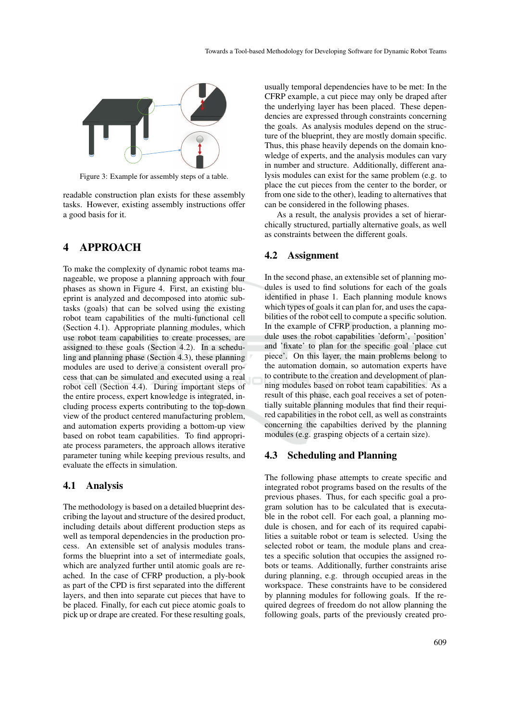

Figure 3: Example for assembly steps of a table.

readable construction plan exists for these assembly tasks. However, existing assembly instructions offer a good basis for it.

## 4 APPROACH

To make the complexity of dynamic robot teams manageable, we propose a planning approach with four phases as shown in Figure 4. First, an existing blueprint is analyzed and decomposed into atomic subtasks (goals) that can be solved using the existing robot team capabilities of the multi-functional cell (Section 4.1). Appropriate planning modules, which use robot team capabilities to create processes, are assigned to these goals (Section 4.2). In a scheduling and planning phase (Section 4.3), these planning modules are used to derive a consistent overall process that can be simulated and executed using a real robot cell (Section 4.4). During important steps of the entire process, expert knowledge is integrated, including process experts contributing to the top-down view of the product centered manufacturing problem, and automation experts providing a bottom-up view based on robot team capabilities. To find appropriate process parameters, the approach allows iterative parameter tuning while keeping previous results, and evaluate the effects in simulation.

#### 4.1 Analysis

The methodology is based on a detailed blueprint describing the layout and structure of the desired product, including details about different production steps as well as temporal dependencies in the production process. An extensible set of analysis modules transforms the blueprint into a set of intermediate goals, which are analyzed further until atomic goals are reached. In the case of CFRP production, a ply-book as part of the CPD is first separated into the different layers, and then into separate cut pieces that have to be placed. Finally, for each cut piece atomic goals to pick up or drape are created. For these resulting goals,

usually temporal dependencies have to be met: In the CFRP example, a cut piece may only be draped after the underlying layer has been placed. These dependencies are expressed through constraints concerning the goals. As analysis modules depend on the structure of the blueprint, they are mostly domain specific. Thus, this phase heavily depends on the domain knowledge of experts, and the analysis modules can vary in number and structure. Additionally, different analysis modules can exist for the same problem (e.g. to place the cut pieces from the center to the border, or from one side to the other), leading to alternatives that can be considered in the following phases.

As a result, the analysis provides a set of hierarchically structured, partially alternative goals, as well as constraints between the different goals.

## 4.2 Assignment

In the second phase, an extensible set of planning modules is used to find solutions for each of the goals identified in phase 1. Each planning module knows which types of goals it can plan for, and uses the capabilities of the robot cell to compute a specific solution. In the example of CFRP production, a planning module uses the robot capabilities 'deform', 'position' and 'fixate' to plan for the specific goal 'place cut piece'. On this layer, the main problems belong to the automation domain, so automation experts have to contribute to the creation and development of planning modules based on robot team capabilities. As a result of this phase, each goal receives a set of potentially suitable planning modules that find their required capabilities in the robot cell, as well as constraints concerning the capabilties derived by the planning modules (e.g. grasping objects of a certain size).

#### 4.3 Scheduling and Planning

The following phase attempts to create specific and integrated robot programs based on the results of the previous phases. Thus, for each specific goal a program solution has to be calculated that is executable in the robot cell. For each goal, a planning module is chosen, and for each of its required capabilities a suitable robot or team is selected. Using the selected robot or team, the module plans and creates a specific solution that occupies the assigned robots or teams. Additionally, further constraints arise during planning, e.g. through occupied areas in the workspace. These constraints have to be considered by planning modules for following goals. If the required degrees of freedom do not allow planning the following goals, parts of the previously created pro-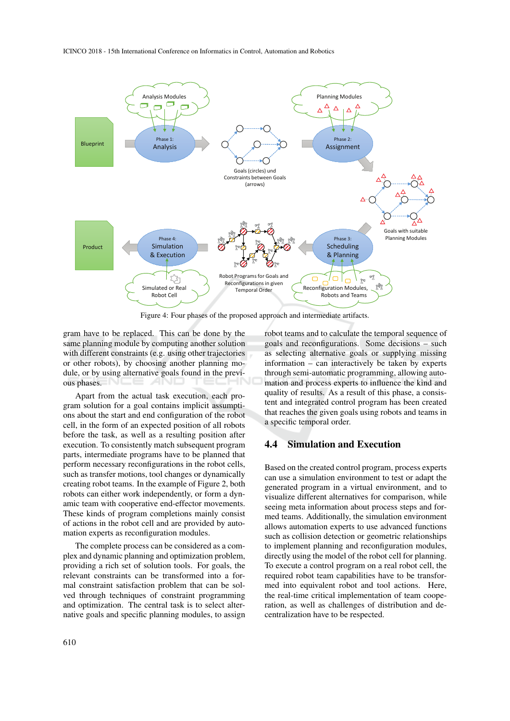

Figure 4: Four phases of the proposed approach and intermediate artifacts.

gram have to be replaced. This can be done by the same planning module by computing another solution with different constraints (e.g. using other trajectories) or other robots), by choosing another planning module, or by using alternative goals found in the previous phases.

Apart from the actual task execution, each program solution for a goal contains implicit assumptions about the start and end configuration of the robot cell, in the form of an expected position of all robots before the task, as well as a resulting position after execution. To consistently match subsequent program parts, intermediate programs have to be planned that perform necessary reconfigurations in the robot cells, such as transfer motions, tool changes or dynamically creating robot teams. In the example of Figure 2, both robots can either work independently, or form a dynamic team with cooperative end-effector movements. These kinds of program completions mainly consist of actions in the robot cell and are provided by automation experts as reconfiguration modules.

The complete process can be considered as a complex and dynamic planning and optimization problem, providing a rich set of solution tools. For goals, the relevant constraints can be transformed into a formal constraint satisfaction problem that can be solved through techniques of constraint programming and optimization. The central task is to select alternative goals and specific planning modules, to assign

robot teams and to calculate the temporal sequence of goals and reconfigurations. Some decisions – such as selecting alternative goals or supplying missing information – can interactively be taken by experts through semi-automatic programming, allowing automation and process experts to influence the kind and quality of results. As a result of this phase, a consistent and integrated control program has been created that reaches the given goals using robots and teams in a specific temporal order.

## 4.4 Simulation and Execution

Based on the created control program, process experts can use a simulation environment to test or adapt the generated program in a virtual environment, and to visualize different alternatives for comparison, while seeing meta information about process steps and formed teams. Additionally, the simulation environment allows automation experts to use advanced functions such as collision detection or geometric relationships to implement planning and reconfiguration modules, directly using the model of the robot cell for planning. To execute a control program on a real robot cell, the required robot team capabilities have to be transformed into equivalent robot and tool actions. Here, the real-time critical implementation of team cooperation, as well as challenges of distribution and decentralization have to be respected.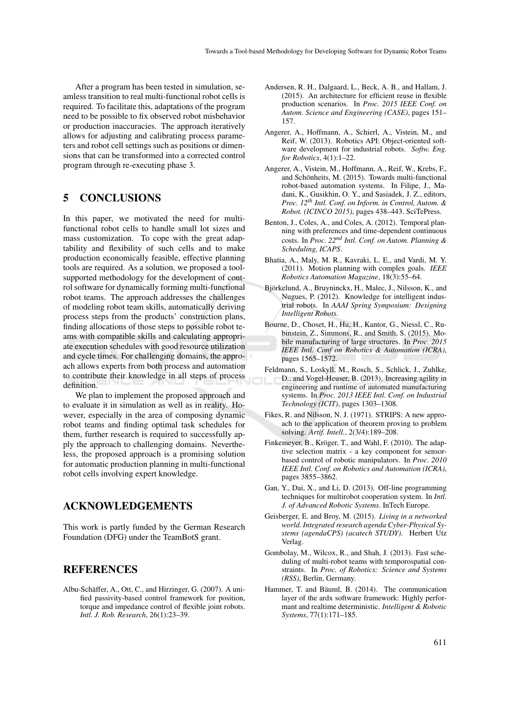After a program has been tested in simulation, seamless transition to real multi-functional robot cells is required. To facilitate this, adaptations of the program need to be possible to fix observed robot misbehavior or production inaccuracies. The approach iteratively allows for adjusting and calibrating process parameters and robot cell settings such as positions or dimensions that can be transformed into a corrected control program through re-executing phase 3.

# 5 CONCLUSIONS

In this paper, we motivated the need for multifunctional robot cells to handle small lot sizes and mass customization. To cope with the great adaptability and flexibility of such cells and to make production economically feasible, effective planning tools are required. As a solution, we proposed a toolsupported methodology for the development of control software for dynamically forming multi-functional robot teams. The approach addresses the challenges of modeling robot team skills, automatically deriving process steps from the products' construction plans, finding allocations of those steps to possible robot teams with compatible skills and calculating appropriate execution schedules with good resource utilization and cycle times. For challenging domains, the approach allows experts from both process and automation to contribute their knowledge in all steps of process definition.

We plan to implement the proposed approach and to evaluate it in simulation as well as in reality. However, especially in the area of composing dynamic robot teams and finding optimal task schedules for them, further research is required to successfully apply the approach to challenging domains. Nevertheless, the proposed approach is a promising solution for automatic production planning in multi-functional robot cells involving expert knowledge.

## ACKNOWLEDGEMENTS

This work is partly funded by the German Research Foundation (DFG) under the TeamBotS grant.

## **REFERENCES**

Albu-Schäffer, A., Ott, C., and Hirzinger, G. (2007). A unified passivity-based control framework for position, torque and impedance control of flexible joint robots. *Intl. J. Rob. Research*, 26(1):23–39.

- Andersen, R. H., Dalgaard, L., Beck, A. B., and Hallam, J. (2015). An architecture for efficient reuse in flexible production scenarios. In *Proc. 2015 IEEE Conf. on Autom. Science and Engineering (CASE)*, pages 151– 157.
- Angerer, A., Hoffmann, A., Schierl, A., Vistein, M., and Reif, W. (2013). Robotics API: Object-oriented software development for industrial robots. *Softw. Eng. for Robotics*, 4(1):1–22.
- Angerer, A., Vistein, M., Hoffmann, A., Reif, W., Krebs, F., and Schönheits, M. (2015). Towards multi-functional robot-based automation systems. In Filipe, J., Madani, K., Gusikhin, O. Y., and Sasiadek, J. Z., editors, *Proc. 12th Intl. Conf. on Inform. in Control, Autom. & Robot. (ICINCO 2015)*, pages 438–443. SciTePress.
- Benton, J., Coles, A., and Coles, A. (2012). Temporal planning with preferences and time-dependent continuous costs. In *Proc. 22nd Intl. Conf. on Autom. Planning & Scheduling, ICAPS*.
- Bhatia, A., Maly, M. R., Kavraki, L. E., and Vardi, M. Y. (2011). Motion planning with complex goals. *IEEE Robotics Automation Magazine*, 18(3):55–64.
- Björkelund, A., Bruyninckx, H., Malec, J., Nilsson, K., and Nugues, P. (2012). Knowledge for intelligent industrial robots. In *AAAI Spring Symposium: Designing Intelligent Robots*.
- Bourne, D., Choset, H., Hu, H., Kantor, G., Niessl, C., Rubinstein, Z., Simmons, R., and Smith, S. (2015). Mobile manufacturing of large structures. In *Proc. 2015 IEEE Intl. Conf on Robotics & Automation (ICRA)*, pages 1565–1572.
- Feldmann, S., Loskyll, M., Rosch, S., Schlick, J., Zuhlke, D., and Vogel-Heuser, B. (2013). Increasing agility in engineering and runtime of automated manufacturing systems. In *Proc. 2013 IEEE Intl. Conf. on Industrial Technology (ICIT)*, pages 1303–1308.
- Fikes, R. and Nilsson, N. J. (1971). STRIPS: A new approach to the application of theorem proving to problem solving. *Artif. Intell.*, 2(3/4):189–208.
- Finkemeyer, B., Kröger, T., and Wahl, F. (2010). The adaptive selection matrix - a key component for sensorbased control of robotic manipulators. In *Proc. 2010 IEEE Intl. Conf. on Robotics and Automation (ICRA)*, pages 3855–3862.
- Gan, Y., Dai, X., and Li, D. (2013). Off-line programming techniques for multirobot cooperation system. In *Intl. J. of Advanced Robotic Systems*. InTech Europe.
- Geisberger, E. and Broy, M. (2015). *Living in a networked world. Integrated research agenda Cyber-Physical Systems (agendaCPS) (acatech STUDY)*. Herbert Utz Verlag.
- Gombolay, M., Wilcox, R., and Shah, J. (2013). Fast scheduling of multi-robot teams with temporospatial constraints. In *Proc. of Robotics: Science and Systems (RSS)*, Berlin, Germany.
- Hammer, T. and Bäuml, B. (2014). The communication layer of the ardx software framework: Highly performant and realtime deterministic. *Intelligent & Robotic Systems*, 77(1):171–185.